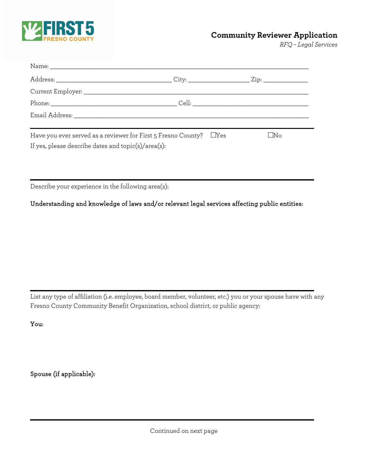

## **Community Reviewer Application**

*RFQ – Legal Services*

| Have you ever served as a reviewer for First 5 Fresno County? UYes<br>If yes, please describe dates and topic(s)/area(s): | l No |
|---------------------------------------------------------------------------------------------------------------------------|------|

Describe your experience in the following area(s):

Understanding and knowledge of laws and/or relevant legal services affecting public entities:

List any type of affiliation (i.e. employee, board member, volunteer, etc.) you or your spouse have with any Fresno County Community Benefit Organization, school district, or public agency:

You:

Spouse (if applicable):

Continued on next page